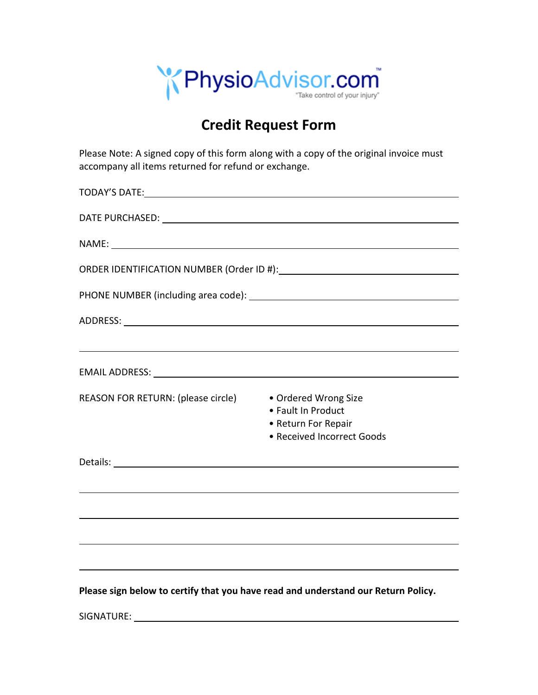

# **Credit Request Form**

Please Note: A signed copy of this form along with a copy of the original invoice must accompany all items returned for refund or exchange.

|                                                         | ,我们也不会有什么。""我们的人,我们也不会有什么?""我们的人,我们也不会有什么?""我们的人,我们也不会有什么?""我们的人,我们也不会有什么?""我们的人  |
|---------------------------------------------------------|-----------------------------------------------------------------------------------|
|                                                         |                                                                                   |
| REASON FOR RETURN: (please circle) • Ordered Wrong Size | • Fault In Product<br>• Return For Repair<br>• Received Incorrect Goods           |
|                                                         |                                                                                   |
|                                                         | <u> 1989 - Johann Barbara, martxa alemaniar argametria (h. 1989).</u>             |
|                                                         | ,我们也不会有什么。""我们的人,我们也不会有什么?""我们的人,我们也不会有什么?""我们的人,我们也不会有什么?""我们的人,我们也不会有什么?""我们的人  |
|                                                         |                                                                                   |
|                                                         |                                                                                   |
|                                                         | Please sign below to certify that you have read and understand our Return Policy. |
|                                                         |                                                                                   |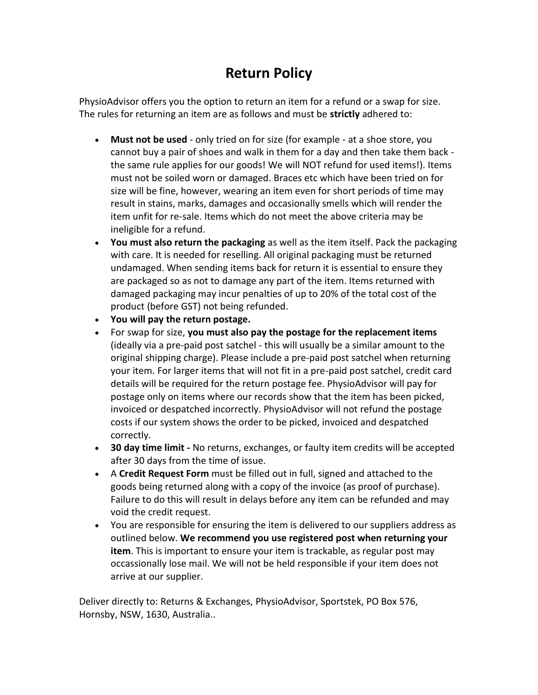# **Return Policy**

PhysioAdvisor offers you the option to return an item for a refund or a swap for size. The rules for returning an item are as follows and must be **strictly** adhered to:

- **Must not be used** only tried on for size (for example at a shoe store, you cannot buy a pair of shoes and walk in them for a day and then take them back the same rule applies for our goods! We will NOT refund for used items!). Items must not be soiled worn or damaged. Braces etc which have been tried on for size will be fine, however, wearing an item even for short periods of time may result in stains, marks, damages and occasionally smells which will render the item unfit for re-sale. Items which do not meet the above criteria may be ineligible for a refund.
- **You must also return the packaging** as well as the item itself. Pack the packaging with care. It is needed for reselling. All original packaging must be returned undamaged. When sending items back for return it is essential to ensure they are packaged so as not to damage any part of the item. Items returned with damaged packaging may incur penalties of up to 20% of the total cost of the product (before GST) not being refunded.
- **You will pay the return postage.**
- For swap for size, **you must also pay the postage for the replacement items** (ideally via a pre-paid post satchel - this will usually be a similar amount to the original shipping charge). Please include a pre-paid post satchel when returning your item. For larger items that will not fit in a pre-paid post satchel, credit card details will be required for the return postage fee. PhysioAdvisor will pay for postage only on items where our records show that the item has been picked, invoiced or despatched incorrectly. PhysioAdvisor will not refund the postage costs if our system shows the order to be picked, invoiced and despatched correctly.
- **30 day time limit -** No returns, exchanges, or faulty item credits will be accepted after 30 days from the time of issue.
- A **Credit Request Form** must be filled out in full, signed and attached to the goods being returned along with a copy of the invoice (as proof of purchase). Failure to do this will result in delays before any item can be refunded and may void the credit request.
- You are responsible for ensuring the item is delivered to our suppliers address as outlined below. **We recommend you use registered post when returning your item**. This is important to ensure your item is trackable, as regular post may occassionally lose mail. We will not be held responsible if your item does not arrive at our supplier.

Deliver directly to: Returns & Exchanges, PhysioAdvisor, Sportstek, PO Box 576, Hornsby, NSW, 1630, Australia..